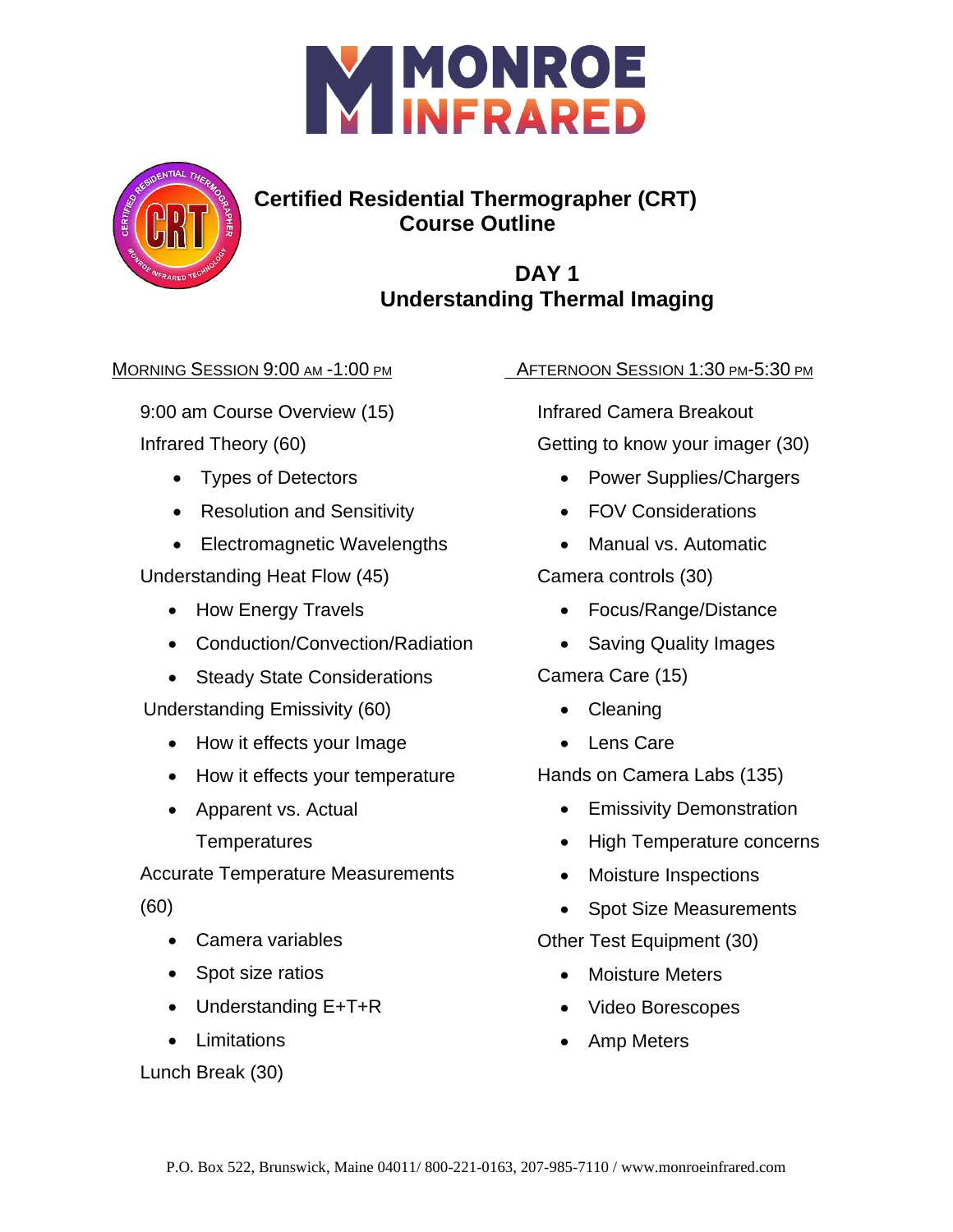



# **Certified Residential Thermographer (CRT) Course Outline**

## **DAY 1 Understanding Thermal Imaging**

#### MORNING SESSION 9:00 AM -1:00 PM

9:00 am Course Overview (15) Infrared Theory (60)

- Types of Detectors
- Resolution and Sensitivity
- Electromagnetic Wavelengths

Understanding Heat Flow (45)

- How Energy Travels
- Conduction/Convection/Radiation
- Steady State Considerations

Understanding Emissivity (60)

- How it effects your Image
- How it effects your temperature
- Apparent vs. Actual

**Temperatures** 

Accurate Temperature Measurements

(60)

- Camera variables
- Spot size ratios
- Understanding E+T+R
- Limitations

Lunch Break (30)

AFTERNOON SESSION 1:30 PM-5:30 PM

Infrared Camera Breakout Getting to know your imager (30)

- Power Supplies/Chargers
- FOV Considerations
- Manual vs. Automatic

Camera controls (30)

- Focus/Range/Distance
- Saving Quality Images

Camera Care (15)

- Cleaning
- Lens Care

Hands on Camera Labs (135)

- Emissivity Demonstration
- High Temperature concerns
- Moisture Inspections
- Spot Size Measurements

Other Test Equipment (30)

- Moisture Meters
- Video Borescopes
- Amp Meters